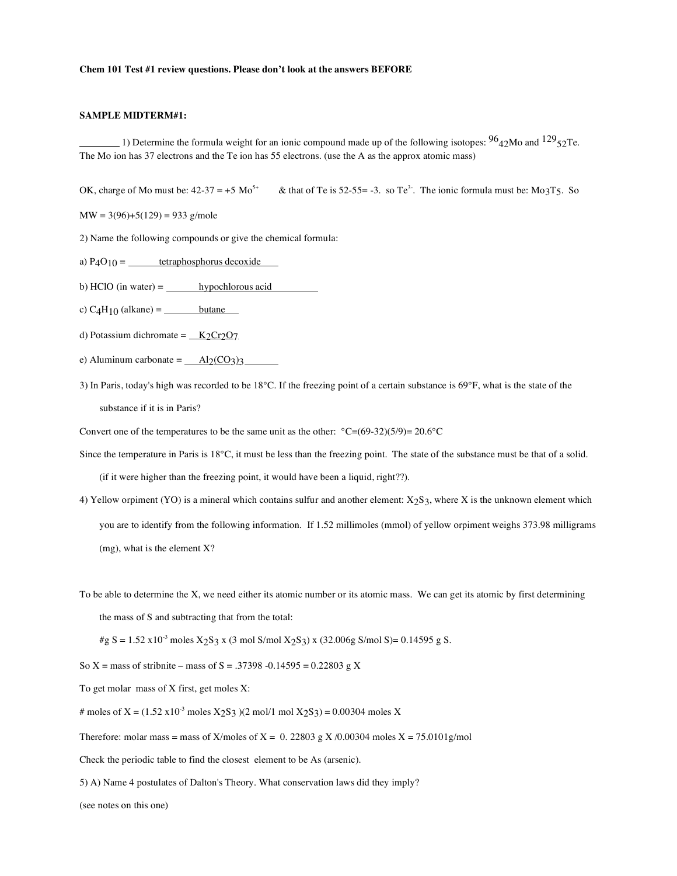## **Chem 101 Test #1 review questions. Please don't look at the answers BEFORE**

## **SAMPLE MIDTERM#1:**

1) Determine the formula weight for an ionic compound made up of the following isotopes:  $96_{42}$ Mo and  $129_{52}$ Te. The Mo ion has 37 electrons and the Te ion has 55 electrons. (use the A as the approx atomic mass)

OK, charge of Mo must be:  $42-37 = +5 \text{ Mo}^{5+}$  & that of Te is  $52-55 = -3$ . so Te<sup>3</sup>. The ionic formula must be: Mo<sub>3</sub>T<sub>5</sub>. So

 $MW = 3(96)+5(129) = 933$  g/mole

2) Name the following compounds or give the chemical formula:

a)  $P_4O_{10} =$  tetraphosphorus decoxide

b) HClO (in water) =  $\frac{hypochlorous acid}$ 

- c)  $C_4H_{10}$  (alkane) = <u>butane</u>
- d) Potassium dichromate =  $K_2Cr_2O_7$
- e) Aluminum carbonate =  $\underline{Al}_2(CO_3)$ 3
- 3) In Paris, today's high was recorded to be 18°C. If the freezing point of a certain substance is 69°F, what is the state of the substance if it is in Paris?

Convert one of the temperatures to be the same unit as the other:  $°C = (69-32)(5/9) = 20.6°C$ 

Since the temperature in Paris is 18°C, it must be less than the freezing point. The state of the substance must be that of a solid.

(if it were higher than the freezing point, it would have been a liquid, right??).

- 4) Yellow orpiment (YO) is a mineral which contains sulfur and another element:  $X_2S_3$ , where X is the unknown element which you are to identify from the following information. If 1.52 millimoles (mmol) of yellow orpiment weighs 373.98 milligrams (mg), what is the element X?
- To be able to determine the X, we need either its atomic number or its atomic mass. We can get its atomic by first determining the mass of S and subtracting that from the total:

#g S = 1.52 x10<sup>-3</sup> moles X<sub>2</sub>S<sub>3</sub> x (3 mol S/mol X<sub>2</sub>S<sub>3</sub>) x (32.006g S/mol S)= 0.14595 g S.

So X = mass of stribnite – mass of S = .37398 -0.14595 = 0.22803 g X

To get molar mass of X first, get moles X:

# moles of  $X = (1.52 \times 10^{-3} \text{ moles } X_2 S_3)$  (2 mol/1 mol  $X_2 S_3$ ) = 0.00304 moles X

Therefore: molar mass = mass of X/moles of  $X = 0$ . 22803 g X /0.00304 moles  $X = 75.0101$ g/mol

Check the periodic table to find the closest element to be As (arsenic).

5) A) Name 4 postulates of Dalton's Theory. What conservation laws did they imply?

(see notes on this one)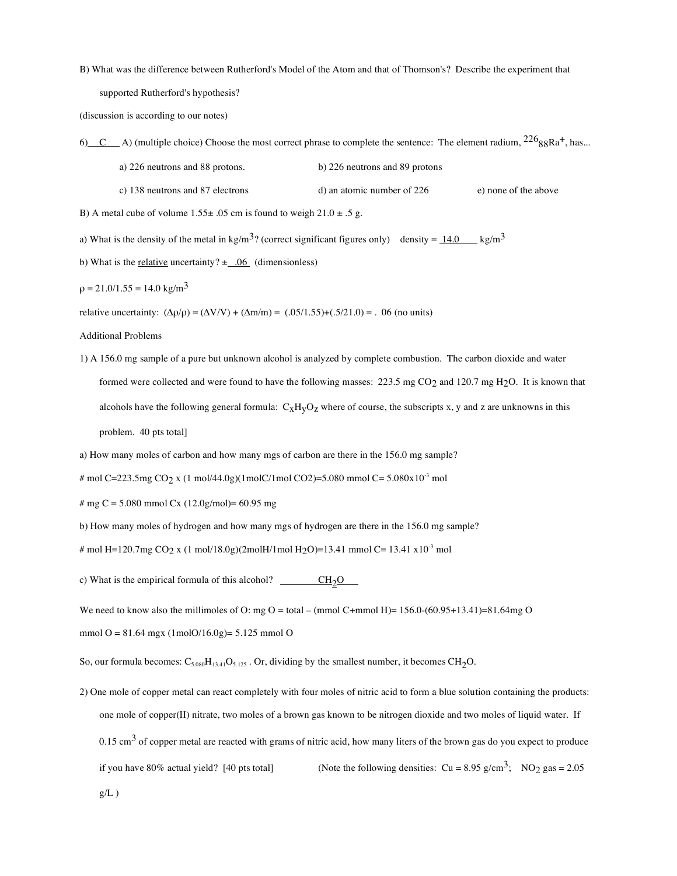B) What was the difference between Rutherford's Model of the Atom and that of Thomson's? Describe the experiment that

supported Rutherford's hypothesis?

(discussion is according to our notes)

6) C A) (multiple choice) Choose the most correct phrase to complete the sentence: The element radium,  $226_{88}Ra^{+}$ , has...

| c) 138 neutrons and 87 electrons | d) an atomic number of 226 | e) none of the above |
|----------------------------------|----------------------------|----------------------|

B) A metal cube of volume  $1.55\pm .05$  cm is found to weigh  $21.0 \pm .5$  g.

a) What is the density of the metal in kg/m<sup>3</sup>? (correct significant figures only) density =  $14.0$  kg/m<sup>3</sup>

a) 226 neutrons and 88 protons. b) 226 neutrons and 89 protons

b) What is the <u>relative</u> uncertainty?  $\pm$  .06 (dimensionless)

 $p = 21.0/1.55 = 14.0$  kg/m<sup>3</sup>

relative uncertainty:  $(\Delta \rho/\rho) = (\Delta V/V) + (\Delta m/m) = (.05/1.55) + (.5/21.0) = .06$  (no units)

Additional Problems

1) A 156.0 mg sample of a pure but unknown alcohol is analyzed by complete combustion. The carbon dioxide and water formed were collected and were found to have the following masses: 223.5 mg CO<sub>2</sub> and 120.7 mg H<sub>2</sub>O. It is known that alcohols have the following general formula:  $C_XH_YO_Z$  where of course, the subscripts x, y and z are unknowns in this problem. 40 pts total]

a) How many moles of carbon and how many mgs of carbon are there in the 156.0 mg sample?

# mol C=223.5mg CO<sub>2</sub> x (1 mol/44.0g)(1molC/1mol CO2)=5.080 mmol C= 5.080x10<sup>-3</sup> mol

# mg C = 5.080 mmol Cx (12.0g/mol)= 60.95 mg

b) How many moles of hydrogen and how many mgs of hydrogen are there in the 156.0 mg sample?

# mol H=120.7mg CO<sub>2</sub> x (1 mol/18.0g)(2molH/1mol H<sub>2</sub>O)=13.41 mmol C= 13.41 x10<sup>-3</sup> mol

c) What is the empirical formula of this alcohol?  $\underline{\hspace{1cm}}\underline{\hspace{1cm}}\underline{\hspace{1cm}}\underline{\hspace{1cm}}\underline{\hspace{1cm}}$ 

We need to know also the millimoles of O: mg O = total – (mmol C+mmol H)=  $156.0-(60.95+13.41)=81.64mg$  O

mmol O = 81.64 mgx (1molO/16.0g)= 5.125 mmol O

So, our formula becomes:  $C_{5.080}H_{13.41}O_{5.125}$ . Or, dividing by the smallest number, it becomes CH<sub>2</sub>O.

2) One mole of copper metal can react completely with four moles of nitric acid to form a blue solution containing the products: one mole of copper(II) nitrate, two moles of a brown gas known to be nitrogen dioxide and two moles of liquid water. If 0.15 cm<sup>3</sup> of copper metal are reacted with grams of nitric acid, how many liters of the brown gas do you expect to produce if you have 80% actual yield? [40 pts total] (Note the following densities:  $Cu = 8.95$  g/cm<sup>3</sup>; NO<sub>2</sub> gas = 2.05  $g/L$ )